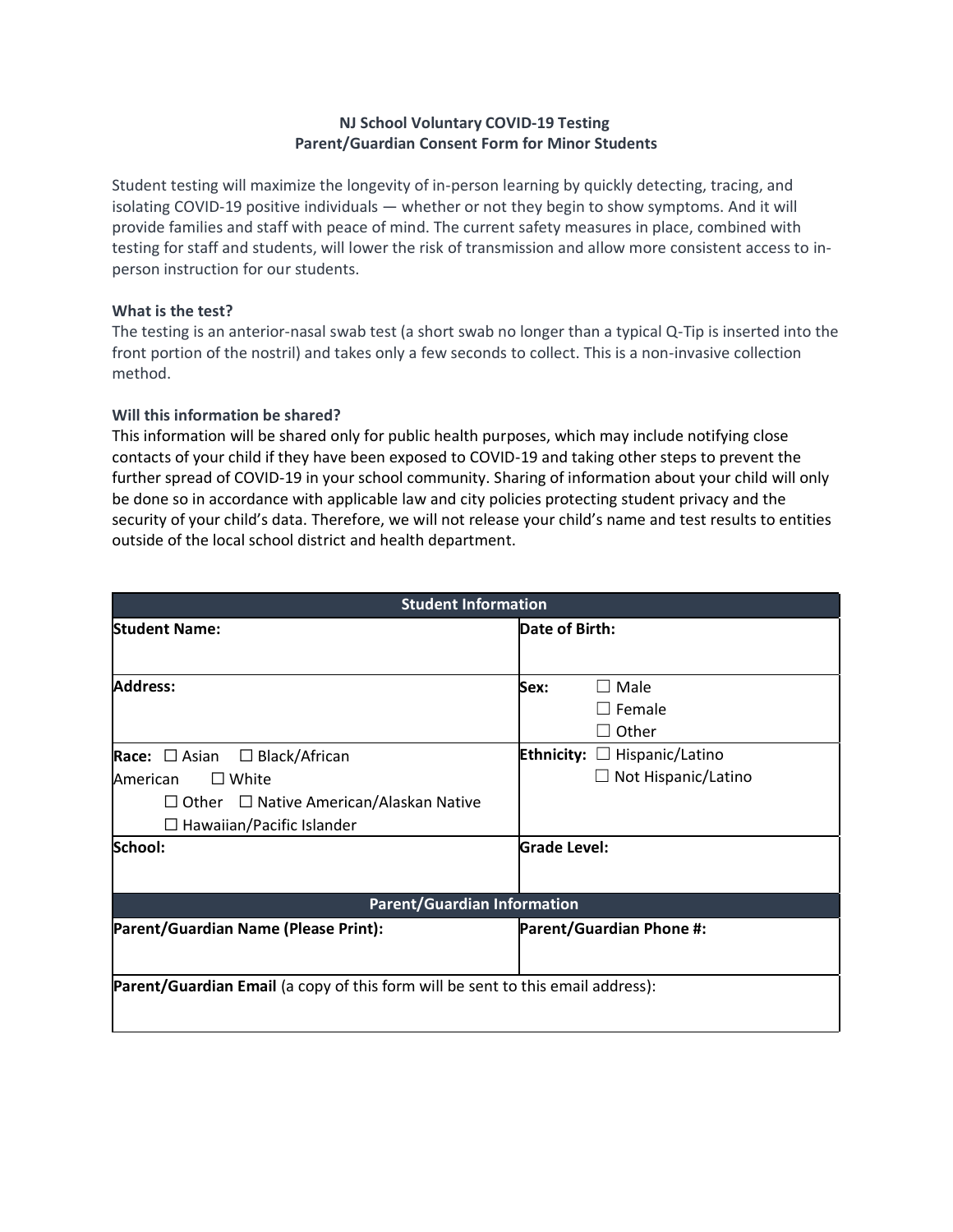## **NJ School Voluntary COVID-19 Testing Parent/Guardian Consent Form for Minor Students**

Student testing will maximize the longevity of in-person learning by quickly detecting, tracing, and isolating COVID-19 positive individuals — whether or not they begin to show symptoms. And it will provide families and staff with peace of mind. The current safety measures in place, combined with testing for staff and students, will lower the risk of transmission and allow more consistent access to inperson instruction for our students.

#### **What is the test?**

The testing is an anterior-nasal swab test (a short swab no longer than a typical Q-Tip is inserted into the front portion of the nostril) and takes only a few seconds to collect. This is a non-invasive collection method.

### **Will this information be shared?**

This information will be shared only for public health purposes, which may include notifying close contacts of your child if they have been exposed to COVID-19 and taking other steps to prevent the further spread of COVID-19 in your school community. Sharing of information about your child will only be done so in accordance with applicable law and city policies protecting student privacy and the security of your child's data. Therefore, we will not release your child's name and test results to entities outside of the local school district and health department.

| <b>Student Information</b>                                                                                                                                                  |                                                                                           |  |
|-----------------------------------------------------------------------------------------------------------------------------------------------------------------------------|-------------------------------------------------------------------------------------------|--|
| <b>Student Name:</b>                                                                                                                                                        | Date of Birth:                                                                            |  |
| Address:                                                                                                                                                                    | $\Box$ Male<br>Sex:<br>$\Box$ Female<br>$\sqsupset$ Other                                 |  |
| Race: $\Box$ Asian $\Box$ Black/African<br>$\square$ White<br>American<br>$\Box$ Other $\Box$ Native American/Alaskan Native<br>$\Box$ Hawaiian/Pacific Islander<br>School: | Ethnicity:<br>$\Box$ Hispanic/Latino<br>$\Box$ Not Hispanic/Latino<br><b>Grade Level:</b> |  |
| <b>Parent/Guardian Information</b>                                                                                                                                          |                                                                                           |  |
| Parent/Guardian Name (Please Print):                                                                                                                                        | <b>Parent/Guardian Phone #:</b>                                                           |  |
| Parent/Guardian Email (a copy of this form will be sent to this email address):                                                                                             |                                                                                           |  |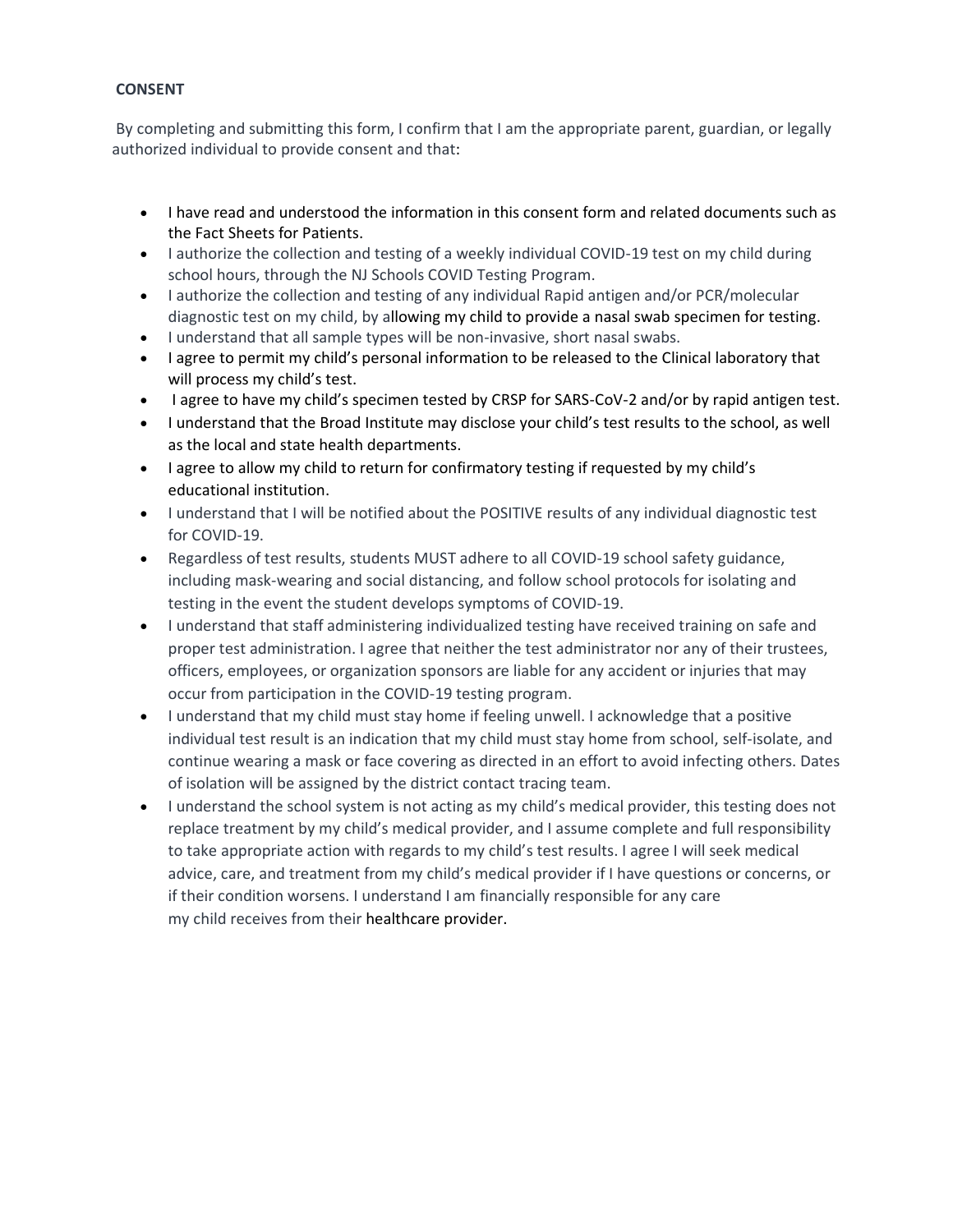## **CONSENT**

By completing and submitting this form, I confirm that I am the appropriate parent, guardian, or legally authorized individual to provide consent and that:

- I have read and understood the information in this consent form and related documents such as the Fact Sheets for Patients.
- I authorize the collection and testing of a weekly individual COVID-19 test on my child during school hours, through the NJ Schools COVID Testing Program.
- I authorize the collection and testing of any individual Rapid antigen and/or PCR/molecular diagnostic test on my child, by allowing my child to provide a nasal swab specimen for testing.
- I understand that all sample types will be non-invasive, short nasal swabs.
- I agree to permit my child's personal information to be released to the Clinical laboratory that will process my child's test.
- I agree to have my child's specimen tested by CRSP for SARS-CoV-2 and/or by rapid antigen test.
- I understand that the Broad Institute may disclose your child's test results to the school, as well as the local and state health departments.
- I agree to allow my child to return for confirmatory testing if requested by my child's educational institution.
- I understand that I will be notified about the POSITIVE results of any individual diagnostic test for COVID-19.
- Regardless of test results, students MUST adhere to all COVID-19 school safety guidance, including mask-wearing and social distancing, and follow school protocols for isolating and testing in the event the student develops symptoms of COVID-19.
- I understand that staff administering individualized testing have received training on safe and proper test administration. I agree that neither the test administrator nor any of their trustees, officers, employees, or organization sponsors are liable for any accident or injuries that may occur from participation in the COVID-19 testing program.
- I understand that my child must stay home if feeling unwell. I acknowledge that a positive individual test result is an indication that my child must stay home from school, self-isolate, and continue wearing a mask or face covering as directed in an effort to avoid infecting others. Dates of isolation will be assigned by the district contact tracing team.
- I understand the school system is not acting as my child's medical provider, this testing does not replace treatment by my child's medical provider, and I assume complete and full responsibility to take appropriate action with regards to my child's test results. I agree I will seek medical advice, care, and treatment from my child's medical provider if I have questions or concerns, or if their condition worsens. I understand I am financially responsible for any care my child receives from their healthcare provider.